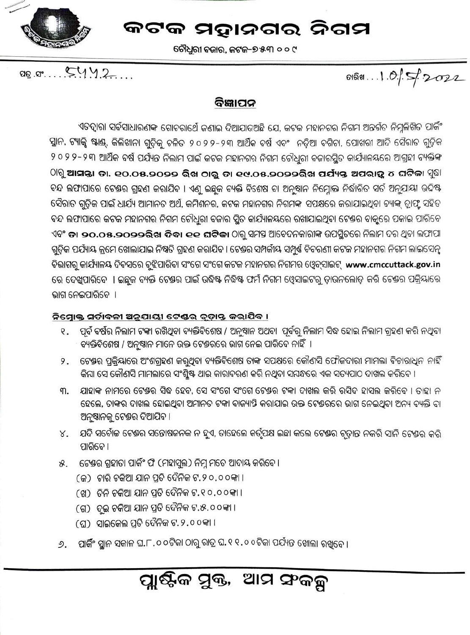

ଚୌଧୁରୀ ବଜାର, କଟକ–୭୫୩ ୦୦୯

 $a_0.a_1...S11.2...$ 

ดเลิต...1.0.1.5 2022

### ବିଜ୍ଞାପନ

ଏତଦ୍ୱାରା ସର୍ବସାଧାରଣ<del>କ</del> ଗୋଚରାର୍ଥେ ଜଣାଇ ଦିଆଯାଉଅଛି ଯେ, କଟକ ମହାନଗର ନିଗମ ଅନ୍ତର୍ଗତ ନିମ୍ନଲିଖିତ ପାର୍କିଂ ସ୍ଥାନ, ଟ୍ୟାକ୍ସି ଷ୍ଟାଣ୍ଡ୍, କିଲିଖାନା ଗୁଡ଼ିକୁ ଚଳିତ ୨୦୨୨-୨୩ ଆର୍ଥିକ ବର୍ଷ ଏବଂ ନଡ଼ିଆ ବଗିଚା, ପୋଖରୀ ଆଦି ସୈରାତ ଗୁଡ଼ିକ ୨ ୦ ୨ ୨ - ୨ ୩ ଆର୍ଥିକ ବର୍ଷ ପର୍ଯ୍ୟନ୍ତ ନିଲାମ ପାଇଁ କଟକ ମହାନଗର ନିଗମ ଚୌଧୁରୀ ବଜାରସ୍ଥିତ କାର୍ଯ୍ୟାଳୟରେ ଆଗ୍ରହୀ ବ୍ୟକ୍ତିଙ୍କ  $\,$ ାରୁ ଆସନ୍ତା ତା. ୧୦.୦୫.୨୦୨୨ ରିଖ ଠାରୁ ତା ୧୯.୦୫.୨୦୨୨ରିଖ ପର୍ଯ୍ୟନ୍ତ ଅପରାତ୍କ ୪ ଘଟିକା <sup>ମୁ</sup>ଛା ବନ୍ଦ ଲଫାପାରେ ଟେଷର ଗ୍ରହଣ କରାଯିବ । ଏଣୁ ଇଛୁକ ବ୍ୟକ୍ତି ବିଶେଷ ବା ଅନୁଷାନ ନିମ୍ନୋକ୍ତ ନିର୍ଦ୍ଧାରିତ ସର୍ତ ଅନୁଯାୟୀ ଉଦ୍ଦିଷ୍ଟ ସୈରାତ ଗୁଡ଼ିକ ପାଇଁ ଧାର୍ଯ୍ୟ ଆମାନତ ଅର୍ଥ, କମିଶନର, କଟକ ମହାନଗର ନିଗମଙ୍କ ସପକ୍ଷରେ କରାଯାଇଥିବା ବ୍ୟାଙ୍କ୍ ଡ୍ରାଫ୍ଟ ସହିତ ବନ୍ଦ ଲଫାପାରେ କଟକ ମହାନଗର ନିଗମ ଚୌଧୁରୀ ବଜାର ସ୍ଥିତ କାର୍ଯ୍ୟାଳୟରେ ରଖାଯାଇଥିବା ଟେଷର ବାକୁରେ ପକାଇ ପାରିବେ ଏବଂ **ତା ୨୦.୦୫.୨୦୨୨ରିଖ ଦିବା ୧୧ ଘଟିକା** ଠାରୁ ସମସ୍ତ ଆବେଦନକାରାଙ୍କ ଉପସ୍ଥିତରେ ନିଲାମ ଦର ଥିବା ଲଫାପା ଗୁଡ଼ିକ ପର୍ଯ୍ୟାୟ କ୍ରମେ ଖୋଲାଯାଇ ନିଷ୍ପତି ଗ୍ରହଣ କରାଯିବ । ଟେଷର ସମ୍ପର୍କାୟ ସମ୍ପୁର୍ଣ୍ଣ ବିବରଣୀ କଟକ ମହାନଗର ନିଗମ ଲାଇସେନ୍ସ ବିଭାଗରୁ କାର୍ଯ୍ୟାଳୟ ଦିବସରେ ବୃଝିପାରିବା ସଂଗେ ସଂଗେ କଟକ ମହାନଗର ନିଗମର ଓ୍ୱେବ୍ସାଇଟ୍ www.cmccuttack.gov.in ରେ ଦେଖୁପାରିବେ । ଇଛୁକ ବ୍ୟକ୍ତି ଟେଷର ପାଇଁ ଉଦ୍ଧିଷ୍ଟ ନିଦ୍ଧିଷ୍ଟ ଫର୍ମ ନିଗମ ଓ୍ୱେସାଇଟର୍ ଡ଼ାଉନଲୋଡ଼ କରି ଟେଷର ପକ୍ରିୟାରେ ଭାଗ ନେଇପାରିବେ ।

### ନିମ୍ନୋକ୍ତ ସର୍ଡାବଳୀ ଅନୁଯାୟୀ ଟେଷର ଚୃଡ଼ାନ୍ତ କରାଯିବ ।

- ପୂର୍ବ ବର୍ଷର ନିଲାମ ଟଙ୍କା ରଖିଥିବା ବ୍ୟକ୍ତିବିଶେଷ / ଅନୁଷାନ ଅଥବା ପୂର୍ବରୁ ନିଲାମ ସିଦ୍ଧ ହୋଇ ନିଲାମ ଗ୍ରହଣ କରି ନଥିବା Q. ବ୍ୟକ୍ତିବିଶେଷ / ଅନୁଷ୍ଠାନ ମାନେ ଉକ୍ତ ଟେଷରରେ ଭାଗ ନେଇ ପାରିବେ ନାହିଁ ।
- ଟେଷର ପ୍ରକ୍ରିୟାରେ ଅଂଶଗ୍ରହଣ କରୁଥିବା ବ୍ୟକ୍ତିବିଶେଷ ତାଙ୍କ ସପକ୍ଷରେ କୌଣସି ଫୌଜଦାରୀ ମାମଲା ବିଚାରାଧିନ ନାହିଁ 9. ିକିଯା ସେ କୌଣସି ମାମଲାରେ ସଂଶ୍ଳିଷ୍ଟ ଥାଇ କାରାବରଣ କରି ନଥିବା ସମ୍ବନ୍ଧରେ ଏକ ସତ୍ୟପାଠ ଦାଖଲ କରିବେ ।
- ଯାହାଙ୍କ ନାମରେ ଟେଷର ସିଦ୍ଧ ହେବ, ସେ ସଂଗେ ସଂଗେ ଟେଷର ଟଙ୍କା ଦାଖଲ କରି ରସିଦ ହାସଲ କରିବେ । ତାହା ନ ୩. ହେଲେ, ତାଙ୍କର ଦାଖଲ ହୋଇଥିବା ଅମାନତ ଟଙ୍କା ବାଜ୍ୟାତ୍ତି କରାଯାଇ ଉକ୍ତ ଟେଷରରେ ଭାଗ ନେଇଥିବା ଅନ୍ୟ ବ୍ୟକ୍ତି ବା ଅନୁଷ୍ଠାନକୁ ଟେକ୍ତର ଦିଆଯିବ ।
- ଯଦି ସର୍ବୋଚ୍ଚ ଟେଷର ସନ୍ତୋଷଜନକ ନ ହୁଏ, ତାହେଲେ କର୍ତୃପକ୍ଷ ଇଛା କଲେ ଟେଷର ଚୃତାନ୍ତ ନକରି ସାନି ଟେଷର କରି ४. ପାରିବେ ।
- ଟେଶ୍ରର ଗ୍ରହୀତା ପାର୍କିଂ ଫି (ମହାସୁଲ) ନିମ୍ନ ମତେ ଆଦାୟ କରିବେ । ୫.
	- (ଜ) ଚାରି ଚକିଆ ଯାନ ପ୍ରତି ଦୈନିକ ଟ.୨୦.୦୦କା ।
	- (ଖ) ତିନି ଚକିଆ ଯାନ ପ୍ରତି ଦୈନିକ ଟ.୧୦.୦୦କା ।
	- (ଗ) ଦୁଇ ଚକିଆ ଯାନ ପ୍ରତି ଦୈନିକ ଟ.୫.୦୦କା ।
	- (ଘ) ସାଇକେଲ ପ୍ରତି ଦୈନିକ ଟ.୨.୦୦କା ।
- ପାର୍କିଂ ସ୍ୱାନ ସକାଳ ଘ.୮.୦ ୦ଟିକା ଠାରୁ ରାତ୍ର ଘ.୧ ୧.୦ ୦ଟିକା ପର୍ଯ୍ୟନ୍ତ ଖୋଲା ରଖିତେ । ୬.

## ପ୍ଲାଷ୍ଟିକ ସୁକ୍ତ, ଆମ ସଂକଳ୍ପ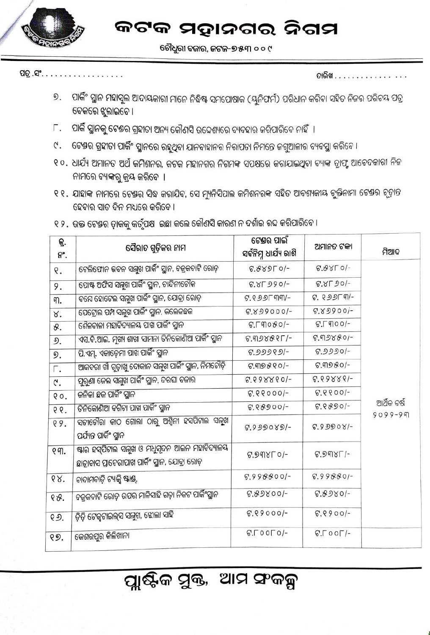ଚୌଧୁରୀ ବଜାର, ଜଟକ–୭୫୩ ୦୦୯

ପତ୍ର .ସଂ.

ତାରିଖ . . . . . . . . .

- ପାର୍କିଂ ସ୍ଥାନ ମହାସୁଲ ଆଦାୟକାରୀ ମାନେ ନିଦ୍ଧିଷ୍ଟ ସମପୋଷାକ (ୟୁନିଫର୍ମ) ପରିଧାନ କରିବା ସହିତ ନିଜର ପରିଚୟ ପତ୍ର ୭. ବେକରେ ଝୁଲାଇବେ ।
- ପାର୍କି ସ୍ଥାନକୁ ଟେଷର ଗ୍ରହୀତା ଅନ୍ୟ କୌଣସି ଉଦ୍ଦେଶ୍ୟରେ ବ୍ୟବହାର କରିପାରିବେ ନାହିଁ । Г.
- $\mathcal{C}$ . ଟେଷର ଗ୍ରହୀତା ପାର୍କିଂ ସ୍ଥାନରେ ରହୁଥିବା ଯାନବାହାନର ନିରାପତା ନିମନ୍ତେ ଜଗୁଆଳୀର ବ୍ୟବସ୍ଥା କରିବେ ।
- ୧୦. ଧାର୍ଯ୍ୟ ଅମାନତ ଅର୍ଥ କମିଶନର, କଟକ ମହାନଗର ନିଗମଙ୍କ ସପକ୍ଷରେ କରାଯାଇଥିବା ବ୍ୟାଙ୍କ ଡ୍ରାଫ୍ଟ ଆବେଦକାରୀ ନିଜ ନାମରେ ବ୍ୟାଙ୍କରୁ କ୍ରୟ କରିବେ ।
- ୧ ୧ . ଯାହାଙ୍କ ନାମରେ ଟେକ୍ତର ସିଦ୍ଧ କରାଯିବ, ସେ ମ୍ୟୁନିସିପାଲ କମିଶନରଙ୍କ ସହିତ ଆବଶ୍ୟକୀୟ ଚୁକ୍ତିନାମା ଟେକ୍ତର ଚୃତାନ୍ତ ହେବାର ସାତ ଦିନ ମଧ୍ୟରେ କରିବେ ।
- ୧ ୨ . ଉକ୍ତ ଟେଷର ତାକକୁ କର୍ତୃପକ୍ଷ ଇଛା କଲେ କୌଣସି କାରଣ ନ ଦର୍ଶାଇ ରଦ୍ଦ କରିପାରିବେ ।

| କ୍ର.<br>ନଂ.                 | ସୈରାତ ଗୁଡ଼ିକର ନାମ                                                                                   | ଟେକ୍ତର ପାଇଁ<br>ସର୍ବନିମ୍ନ ଧାର୍ଯ୍ୟ ରାଶି | ଅମାନତ ଟଙ୍କା                 | ମିଆଦ        |
|-----------------------------|-----------------------------------------------------------------------------------------------------|---------------------------------------|-----------------------------|-------------|
| Q.                          | ଟେଲିଫୋନ ଭବନ ସମ୍ମୁଖ ପାର୍କିଂ ସ୍ଥାନ, ବଜ୍ରକବାଟି ରୋଡ଼                                                    | $6.88950/-$                           | $6.88C0 -$                  |             |
| 9.                          | ପୋଷ୍ଟ ଅଫିସ ସମ୍ମୁଖ ପାର୍କିଂ ସ୍ଥାନ, ଚାନ୍ଦିନୀଚୌକ                                                        | $6.8590 -$                            | 8.8590/-                    |             |
| ୩.                          | ବଯେ ହୋଟେଲ ସନ୍ତ୍ରଖ ପାର୍କିଂ ସ୍ଥାନ, ଯୋତ୍ରା ରୋଡ଼                                                        | $C.995$ ୮୩୩/-                         | <b>6. 655Lal-</b>           |             |
| ४.                          | ପେଟ୍ରୋଲ ପମ୍ପ ସନ୍ନୁଖ ପାର୍କିଂ ସ୍ଥାନ, କଲେଜଛକ                                                           | $6.899000/-$                          | $6.89900/-$                 |             |
| 8.                          | ଶୈଳବାଳା ମହାବିଦ୍ୟାଳୟ ପାଖ ପାର୍କିଂ ସ୍ଥାନ                                                               | $G. \Gamma \eta 080/-$                | $G.$ $\Box$ $\Theta$ $O$ /- |             |
| ୬.                          | ଏସ.ବି.ଆଇ. ମୁଖ୍ୟ ଶାଖା ସାମନା ତିନିକୋଣିଆ ପାର୍କିଂ ସ୍ଥାନ                                                  | $F.998881-$                           | $6.99880 -$                 |             |
| ୭.                          | ପି.ଏମ୍. ଏକାଡ଼େମା ପାଖ ପାର୍କିଂ ସ୍ଥାନ                                                                  | ଟ.୬୬୬୧୬/-                             | $6.9990/-$                  |             |
| Г.                          | ଆକବରୀ ଖାଁ ଗୁଡ଼ାଖୁ ଦୋକାନ ସନ୍ନୁଖ ପାର୍କିଂ ସ୍ଥାନ, ନିମଚୌଡ଼ି                                              | $6.99880-$                            | $6.9980/-$                  |             |
| ۲.                          | ପୁରୁଣା ଜେଲ ସମ୍ମୁଖ ପାର୍କିଂ ସ୍ଥାନ, ଦରଘା ବଜାର                                                          | 6.6888601-                            | $6.898881 -$                |             |
| QO.                         | କନିକା ଛକ ପାର୍କିଂ ସ୍ଥାନ                                                                              | $6.88000/-$                           | $6.8800/-$                  |             |
| QQ <sub>z</sub>             | ତିନିକୋଣିଆ ବଗିଚା ପାଖ ପାର୍କିଂ ସ୍ଥାନ                                                                   | $6.88900$ -                           | $6.8890/-$                  | ଆର୍ଥିକ ବର୍ଷ |
| 99.                         | ସତୀଚୌରା କାଠ ଗୋଲା ଠାରୁ ଅଶ୍ୱିନୀ ହସପିଟାଲ ସନ୍ନୁଖ<br>ପର୍ଯ୍ୟନ୍ତ ପାର୍କିଂ ସ୍ଥାନ                             | $6.999089 -$                          | $6.99908/-$                 | $9099 - 99$ |
| $Q \nsubseteq \mathbb{C}$ . | ଷ୍ଟାର ହସ୍ପିଟାଲ ସନ୍ନୁଖ ଓ ମଧୁସୂଦନ ଆଇନ ମହାବିଦ୍ୟାଳୟ<br>ଛାତ୍ରାବାସ ପ୍ରାଚେରୀପାଖ ପାର୍କିଂ ସ୍ଥାନ, ଯୋବ୍ରା ରୋଡ଼ | 6.99850                               | $6.9981/-$                  |             |
| 68.                         | ବାଦାମବାଡ଼ି ଟ୍ୟାକ୍କି ଷ୍ଟାଣ୍ଡ୍,                                                                       | $6.998800/-$                          | $6.99880/-$                 |             |
| ୧୫.                         | ବଜ୍ରକବାଟି ରୋଡ଼ ଉପର ମାଳିସାହି ଗଡ଼ା ନିକଟ ପାର୍କିଂସ୍ଥାନ                                                  | $6.89800/-$                           | $6.8980 -$                  |             |
| ୧୬.                         | ଡ଼ିଡ଼ି ଟେକୁଟାଇଲ୍ସ ସମ୍ମୁଖ, ଝୋଲା ସାହି                                                                 | $6.89000/-$                           | $6.8900/-$                  |             |
| ୧୭.                         | କେଶରପୁର କିଲିଖାନା                                                                                    | $6.00001 -$                           | $G.\Gamma$ OO $\Gamma$ /-   |             |

# ପ୍ଲାଷ୍ଟିକ ସୁକ୍ତ, ଆମ ସଂକଳ୍ପ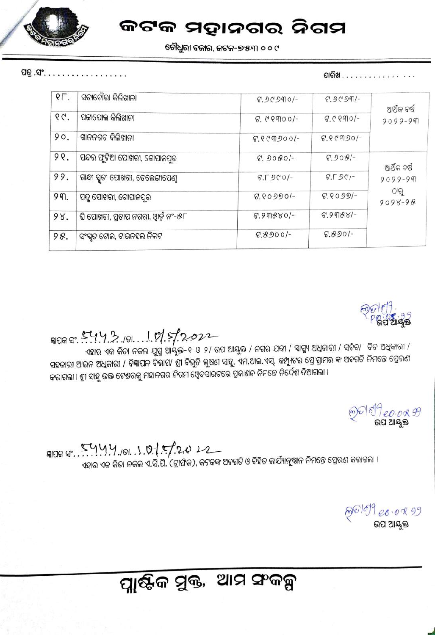

ଚୌଧୁରୀ ବଜାର, କଟକ–୭୫୩ ୦୦୯

ପତ୍ର .ସଂ. .

ତାରିଖ . . . . . . . . . . *.* 

| ସତୀଚୌରା କିଲିଖାନା                      | 6.90990     | $6.9090 -$                    |                                                   |
|---------------------------------------|-------------|-------------------------------|---------------------------------------------------|
| ପଟ୍ଟାପୋଲ କିଲିଖାନା                     | $6.0000 -$  | $6.0990 -$                    | ଆର୍ଥିକ ବର୍ଷ<br>$9099 - 99$                        |
| ଖାନନଗର କିଲିଖାନା                       | $6.00900$ - | $6.8$ (9) $-$                 |                                                   |
| ପନ୍ଦର ଫୁଟିଆ ପୋଖରୀ, ଗୋପାଳପୁର           | $6.9080/-$  | $6.908/-$                     | ଆର୍ଥିକ ବର୍ଷ<br>$9099 - 99$<br>ଠାରୁ<br>$9098 - 98$ |
| ଗାନ୍ଧୀ ସ୍ମୃତୀ ପୋଖରୀ, ତେଲେଙ୍ଗାପେଣୁ     | $6.500 -$   | $G.\Gamma$ $\mathfrak{O}C$ /- |                                                   |
| ପଦୁ ପୋଖରୀ, ଗୋପାଳପୁର                   | $6.80990/-$ | $6.8099 -$                    |                                                   |
| ଘି ପୋଖରୀ, ପ୍ରଚାପ ନଗରୀ, ଓ୍ୱାର୍ଡ଼ ନଂ–୫୮ | $6.99880 -$ | $6.9988/-$                    |                                                   |
| ସଂସ୍କୃତ ଟୋଲ, ଟାଉନହଲ ନିକଟ              | $6.8900 -$  | $6.890 -$                     |                                                   |
|                                       |             |                               |                                                   |



### FIDE 8: 5442.181.101.5/2022

ଏହାର ଏକ କିତା ନକଲ ଯୁଗ୍ମ ଆୟୁକ୍ତ-୧ ଓ ୨/ ଉପ ଆୟୁକ୍ତ / ନଗର ଯବ୍ଦୀ / ସାସ୍ଥ୍ୟ ଅଧିକାରୀ / ସଚିବ/ ବିତ ଅଧିକାରୀ / ସହକାରୀ ଆଇନ ଅଧିକାରୀ / ବିଜ୍ଞାପନ ବିଭାଗ/ ଶ୍ରୀ ବିଭୁତି ଭୁଷଣ ସାହୁ, ଏମ.ଆଇ.ଏସ୍. କମ୍ପ୍ୟୁଟର ପ୍ରୋଗ୍ରାମର କ ଅବଗତି ନିମନ୍ତେ ପ୍ରେରଣ କରାଗଲା । ଶ୍ରୀ ସାହୁ ଉକ୍ତ ଟେଷରକୁ ମହାନଗର ନିଗମ ଓ୍ୱେବସାଇଟରେ ପ୍ରକାଶନ ନିମନ୍ତେ ନିର୍ଦ୍ଦେଶ ଦିଆଗଲା ।

କ୍ତାଣ୍ଡ*ା ୧୦.୦୫ ମି*<br>ଭପ ଆୟକ

9100 gr. 5444,101.1.0. 5/2022 ଏହାର ଏକ କିତା ନକଲ ଏ.ସି.ପି. (ଟ୍ରାଫିକ), କଟକଙ୍କ ଅବଗତି ଓ ବିହିତ କାର୍ଯ୍ୟାନୁଷାନ ନିମନ୍ତେ ପ୍ରେରଣ କରାଗଲା ।

ନ୍ତ<sup>ାଣ୍</sup> ୨୦.୦୧ ୬୨<br>**ଉପ ଆୟକ୍ତ** 

# ପ୍ଲାଷ୍ଟିକ ସୁକ୍ତ, ଆମ ସଂକଳ୍ପ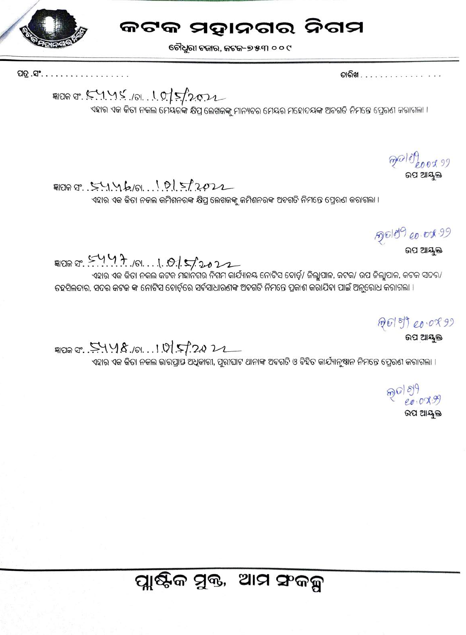

ଚୌଧୁରୀ ବଜାର, ଜଟକ–୭୫୩ ୦ ୦ ୯

ପତ୍ର .ସଂ.

ତାରିଖ . . . . . . . . . . . . . . . *.* 

କ୍ଷାପକ ସଂ. 5.1.1% (ଚା. . 1.0.15/2022

ଏହାର ଏକ କିତା ନକଲ ମେୟରଙ୍କ କ୍ଷିପ୍ର ଲେଖକଙ୍କୁ ମାନ୍ୟବର ମେୟର ମହୋଦୟଙ୍କ ଅବଗତି ନିମନ୍ତେ ପ୍ରେରଣ କରାଗଲା ।

ନ୍ଦା*ଣ୍*<br>- ଉପ ଆୟୁକ୍ତ

 $9099.54460.10512022$ 

ଏହାର ଏକ କିତା ନକଲ କମିଶନରଙ୍କ କ୍ଷିପ୍ର ଲେଖକଙ୍କୁ କମିଶନରଙ୍କ ଅବଗତି ନିମନ୍ତେ ପ୍ରେରଣ କରାଗଲା ।

ଉପ ଆୟୁକ୍ତ

DI STY 47.101.1.015/2022

ଏହାର ଏକ କିତା ନକଲ କଟକ ମହାନଗର ନିଗମ କାର୍ଯ୍ୟାଳୟ ନୋଟିସ ବୋର୍ଡ଼ି/ ଜିଲ୍ଲାପାଳ, କଟକ/ ଉପ ଜିଲ୍ଲାପାଳ, କଟକ ସଦର/ ତହସିଲଦାର, ସଦର କଟକ ଙ୍କ ନୋଟିସ ବୋର୍ଡ଼ିରେ ସର୍ବସାଧାରଣଙ୍କ ଅବଗତି ନିମନ୍ତେ ପ୍ରକାଶ କରାଯିବା ପାଇଁ ଅନୁରୋଧ କରାଗଲା ।

ଉପ ଆୟକ୍ତ

<sub>페이머 약.</sub> 두 1 1 8 ./이. . . 1 0 5 . 2.0 2

ଏହାର ଏକ କିତା ନକଲ ଭାରପ୍ରାସ ଅଧିକାରୀ, ପୁରୀଘାଟ ଥାନାଙ୍କ ଅବଗତି ଓ ବିହିତ କାର୍ଯ୍ୟାନ୍ଷାନ ନିମନ୍ତେ ପ୍ରେରଣ କରାଗଲା ।

 $20009$ ଉପ ଆୟକ୍ତ

# ପ୍ଲାଷ୍ଟିକ ସୁକ୍ତ, ଆମ ସଂକଳ୍ପ